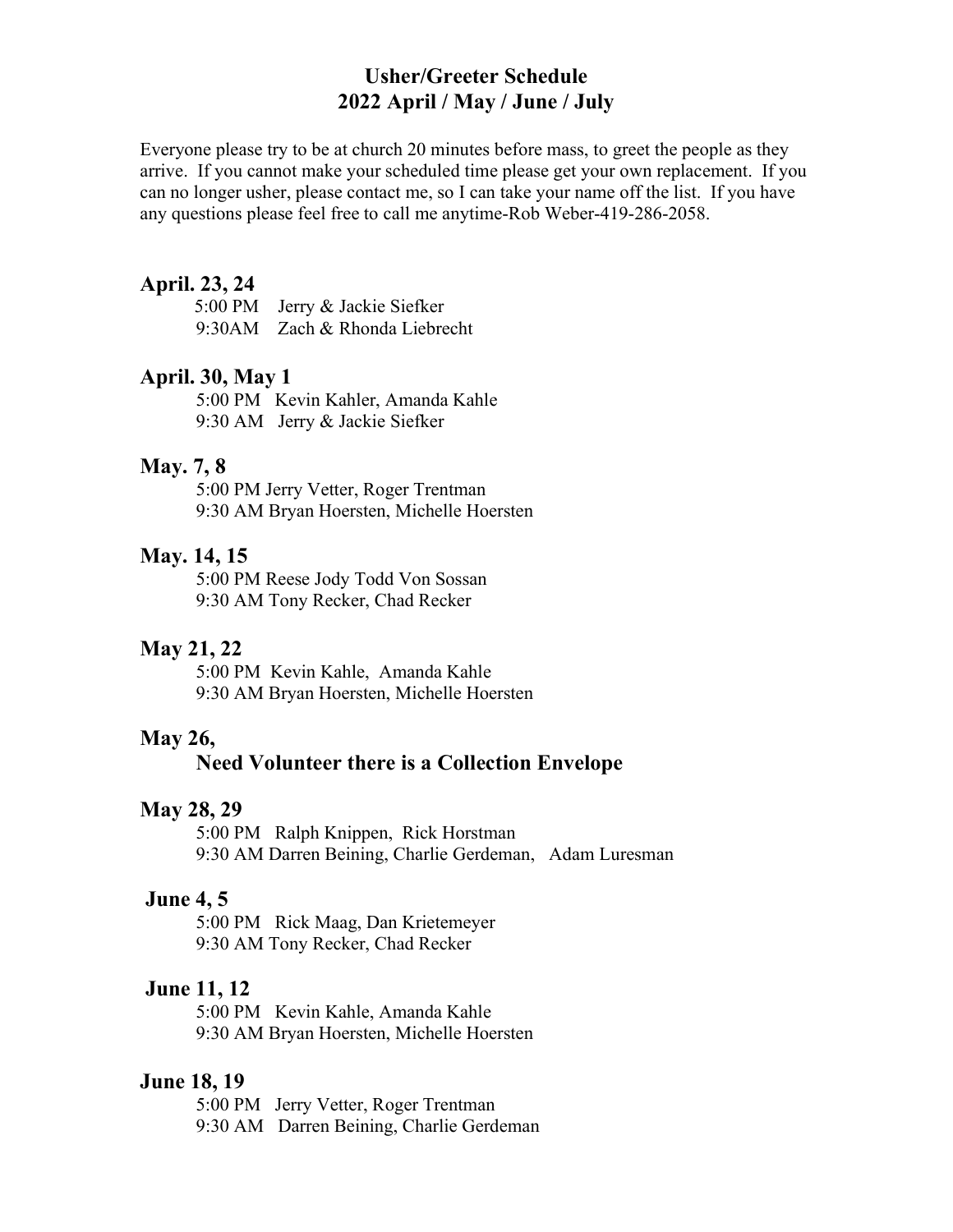# Usher/Greeter Schedule 2022 April / May / June / July

Everyone please try to be at church 20 minutes before mass, to greet the people as they arrive. If you cannot make your scheduled time please get your own replacement. If you can no longer usher, please contact me, so I can take your name off the list. If you have any questions please feel free to call me anytime-Rob Weber-419-286-2058.

#### April. 23, 24

|  | 5:00 PM Jerry & Jackie Siefker |
|--|--------------------------------|
|  | 9:30AM Zach & Rhonda Liebrecht |

#### April. 30, May 1

5:00 PM Kevin Kahler, Amanda Kahle 9:30 AM Jerry & Jackie Siefker

#### May. 7, 8

 5:00 PM Jerry Vetter, Roger Trentman 9:30 AM Bryan Hoersten, Michelle Hoersten

## May. 14, 15

5:00 PM Reese Jody Todd Von Sossan 9:30 AM Tony Recker, Chad Recker

#### May 21, 22

5:00 PM Kevin Kahle, Amanda Kahle 9:30 AM Bryan Hoersten, Michelle Hoersten

### May 26,

# Need Volunteer there is a Collection Envelope

## May 28, 29

5:00 PM Ralph Knippen, Rick Horstman 9:30 AM Darren Beining, Charlie Gerdeman, Adam Luresman

## June 4, 5

5:00 PM Rick Maag, Dan Krietemeyer 9:30 AM Tony Recker, Chad Recker

### June 11, 12

5:00 PM Kevin Kahle, Amanda Kahle 9:30 AM Bryan Hoersten, Michelle Hoersten

## June 18, 19

5:00 PM Jerry Vetter, Roger Trentman 9:30 AM Darren Beining, Charlie Gerdeman